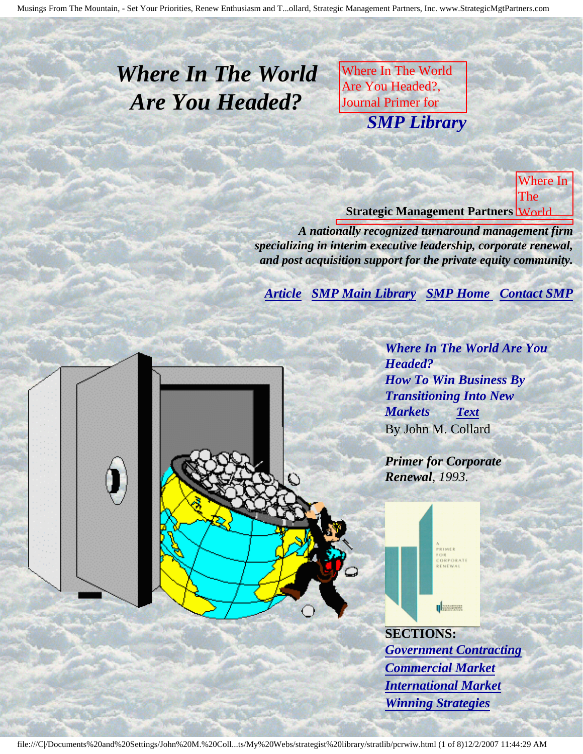# <span id="page-0-3"></span><span id="page-0-2"></span>*Where In The World Are You Headed?*

Where In The World Are You Headed?, Journal Primer for **CORPORATE RENEWAL SMP Libra** by John M. Collard, and *SMP Library*

Strategic Management

Partners, Inc.,

public or published Turnar School and **Strategic Management Partners World** Where In The

*A nationally recognized turnaround management firm* specializing in interim executive leadership, corporate renewal, and post acquisition support for the private equity community.

<span id="page-0-0"></span>for *[Article](#page-0-0) [SMP Main Library](http://members.aol.com/strategist/library.html#TOP) [SMP Home](http://members.aol.com/strategist/home.html#TOP) [Contact SMP](#page-6-0)*

a Vote  $\overline{\phantom{a}}$ **Collard** Strategic Management Partners, Inc., *Where In The World Are You Headed? How To Win Business By Transitioning Into New Markets [Text](#page-1-0)* By John M. Collard

Primer of the American

Corporate Renewal,

published

**Turnaround Street, Street** Management Association

by

*Primer for Corporate Renewal, 1993.*

l

l



**SECTIONS:** *[Government Contracting](#page-2-0) [Commercial Market](#page-3-0) [International Market](#page-3-1) [Winning Strategies](#page-4-0)*

<span id="page-0-1"></span>file:///C|/Documents%20and%20Settings/John%20M.%20Coll...ts/My%20Webs/strategist%20library/stratlib/pcrwiw.html (1 of 8)12/2/2007 11:44:29 AM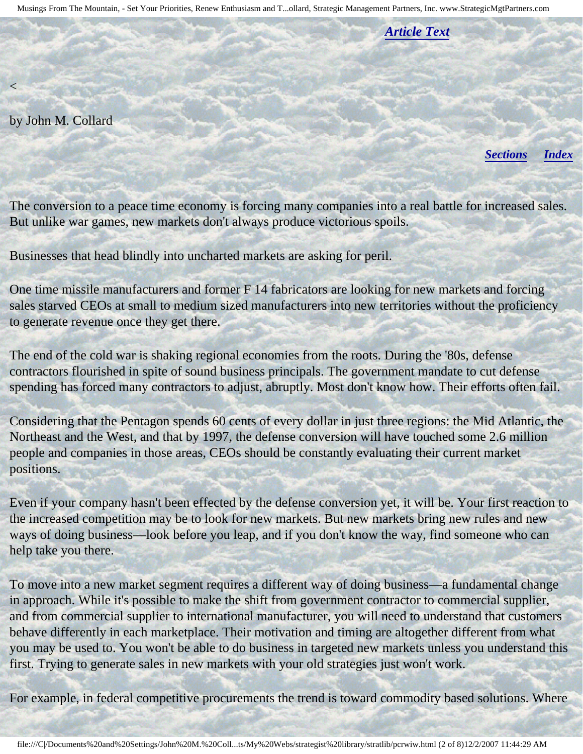*[Article Text](#page-1-0)*

by John M. Collard

<span id="page-1-0"></span> $\lt$ 

*[Sections](#page-0-1) [Index](#page-0-2)*

The conversion to a peace time economy is forcing many companies into a real battle for increased sales. But unlike war games, new markets don't always produce victorious spoils.

Businesses that head blindly into uncharted markets are asking for peril.

One time missile manufacturers and former F 14 fabricators are looking for new markets and forcing sales starved CEOs at small to medium sized manufacturers into new territories without the proficiency to generate revenue once they get there.

The end of the cold war is shaking regional economies from the roots. During the '80s, defense contractors flourished in spite of sound business principals. The government mandate to cut defense spending has forced many contractors to adjust, abruptly. Most don't know how. Their efforts often fail.

Considering that the Pentagon spends 60 cents of every dollar in just three regions: the Mid Atlantic, the Northeast and the West, and that by 1997, the defense conversion will have touched some 2.6 million people and companies in those areas, CEOs should be constantly evaluating their current market positions.

Even if your company hasn't been effected by the defense conversion yet, it will be. Your first reaction to the increased competition may be to look for new markets. But new markets bring new rules and new ways of doing business—look before you leap, and if you don't know the way, find someone who can help take you there.

To move into a new market segment requires a different way of doing business—a fundamental change in approach. While it's possible to make the shift from government contractor to commercial supplier, and from commercial supplier to international manufacturer, you will need to understand that customers behave differently in each marketplace. Their motivation and timing are altogether different from what you may be used to. You won't be able to do business in targeted new markets unless you understand this first. Trying to generate sales in new markets with your old strategies just won't work.

For example, in federal competitive procurements the trend is toward commodity based solutions. Where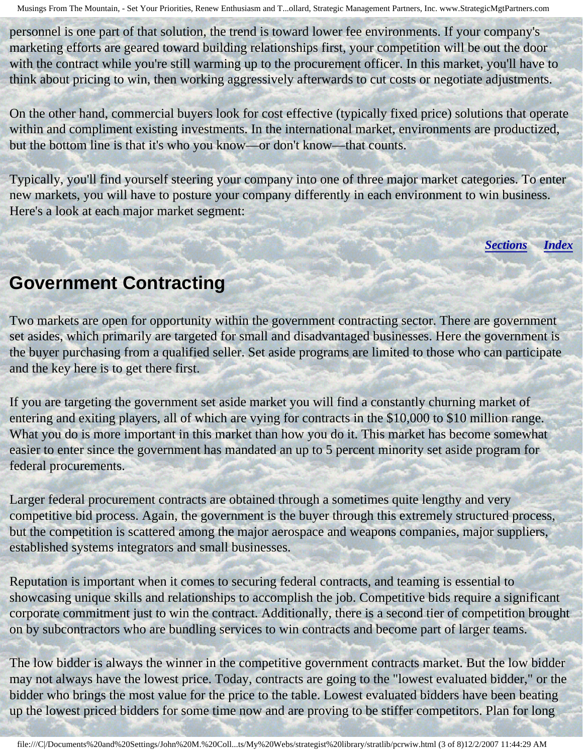personnel is one part of that solution, the trend is toward lower fee environments. If your company's marketing efforts are geared toward building relationships first, your competition will be out the door with the contract while you're still warming up to the procurement officer. In this market, you'll have to think about pricing to win, then working aggressively afterwards to cut costs or negotiate adjustments.

On the other hand, commercial buyers look for cost effective (typically fixed price) solutions that operate within and compliment existing investments. In the international market, environments are productized, but the bottom line is that it's who you know—or don't know—that counts.

<span id="page-2-0"></span>Typically, you'll find yourself steering your company into one of three major market categories. To enter new markets, you will have to posture your company differently in each environment to win business. Here's a look at each major market segment:

*[Sections](#page-0-1) [Index](#page-0-2)*

## **Government Contracting**

Two markets are open for opportunity within the government contracting sector. There are government set asides, which primarily are targeted for small and disadvantaged businesses. Here the government is the buyer purchasing from a qualified seller. Set aside programs are limited to those who can participate and the key here is to get there first.

If you are targeting the government set aside market you will find a constantly churning market of entering and exiting players, all of which are vying for contracts in the \$10,000 to \$10 million range. What you do is more important in this market than how you do it. This market has become somewhat easier to enter since the government has mandated an up to 5 percent minority set aside program for federal procurements.

Larger federal procurement contracts are obtained through a sometimes quite lengthy and very competitive bid process. Again, the government is the buyer through this extremely structured process, but the competition is scattered among the major aerospace and weapons companies, major suppliers, established systems integrators and small businesses.

Reputation is important when it comes to securing federal contracts, and teaming is essential to showcasing unique skills and relationships to accomplish the job. Competitive bids require a significant corporate commitment just to win the contract. Additionally, there is a second tier of competition brought on by subcontractors who are bundling services to win contracts and become part of larger teams.

The low bidder is always the winner in the competitive government contracts market. But the low bidder may not always have the lowest price. Today, contracts are going to the "lowest evaluated bidder," or the bidder who brings the most value for the price to the table. Lowest evaluated bidders have been beating up the lowest priced bidders for some time now and are proving to be stiffer competitors. Plan for long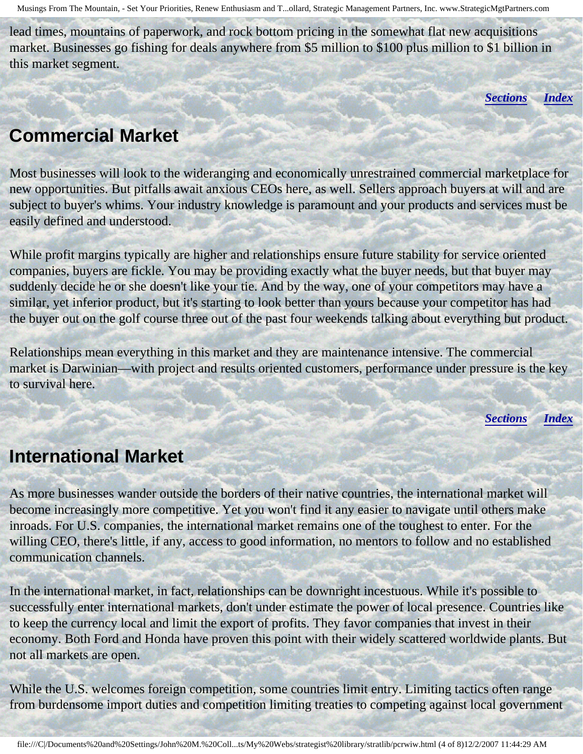<span id="page-3-0"></span>lead times, mountains of paperwork, and rock bottom pricing in the somewhat flat new acquisitions market. Businesses go fishing for deals anywhere from \$5 million to \$100 plus million to \$1 billion in this market segment.

*[Sections](#page-0-1) [Index](#page-0-2)*

#### **Commercial Market**

Most businesses will look to the wideranging and economically unrestrained commercial marketplace for new opportunities. But pitfalls await anxious CEOs here, as well. Sellers approach buyers at will and are subject to buyer's whims. Your industry knowledge is paramount and your products and services must be easily defined and understood.

While profit margins typically are higher and relationships ensure future stability for service oriented companies, buyers are fickle. You may be providing exactly what the buyer needs, but that buyer may suddenly decide he or she doesn't like your tie. And by the way, one of your competitors may have a similar, yet inferior product, but it's starting to look better than yours because your competitor has had the buyer out on the golf course three out of the past four weekends talking about everything but product.

<span id="page-3-1"></span>Relationships mean everything in this market and they are maintenance intensive. The commercial market is Darwinian—with project and results oriented customers, performance under pressure is the key to survival here.

*[Sections](#page-0-1) [Index](#page-0-2)*

## **International Market**

As more businesses wander outside the borders of their native countries, the international market will become increasingly more competitive. Yet you won't find it any easier to navigate until others make inroads. For U.S. companies, the international market remains one of the toughest to enter. For the willing CEO, there's little, if any, access to good information, no mentors to follow and no established communication channels.

In the international market, in fact, relationships can be downright incestuous. While it's possible to successfully enter international markets, don't under estimate the power of local presence. Countries like to keep the currency local and limit the export of profits. They favor companies that invest in their economy. Both Ford and Honda have proven this point with their widely scattered worldwide plants. But not all markets are open.

While the U.S. welcomes foreign competition, some countries limit entry. Limiting tactics often range from burdensome import duties and competition limiting treaties to competing against local government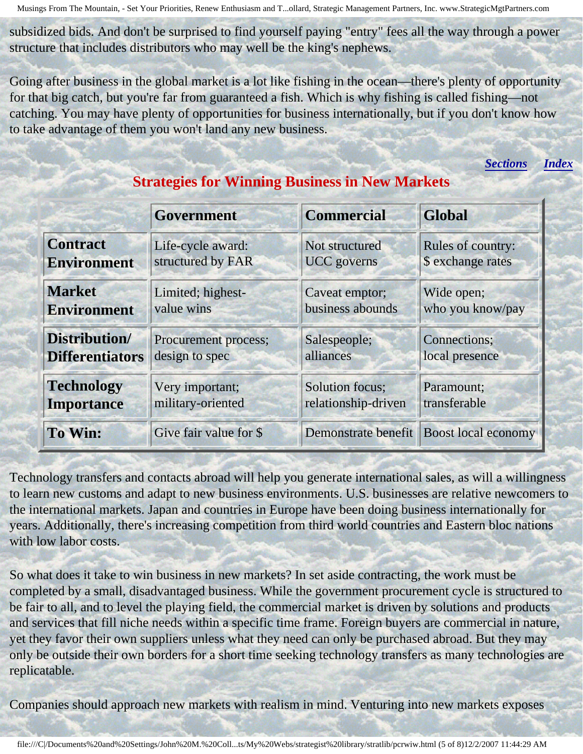subsidized bids. And don't be surprised to find yourself paying "entry" fees all the way through a power structure that includes distributors who may well be the king's nephews.

<span id="page-4-0"></span>Going after business in the global market is a lot like fishing in the ocean—there's plenty of opportunity for that big catch, but you're far from guaranteed a fish. Which is why fishing is called fishing—not catching. You may have plenty of opportunities for business internationally, but if you don't know how to take advantage of them you won't land any new business.

*[Sections](#page-0-1) [Index](#page-0-2)*

|                        | Government             | <b>Commercial</b>   | <b>Global</b>              |
|------------------------|------------------------|---------------------|----------------------------|
| <b>Contract</b>        | Life-cycle award:      | Not structured      | <b>Rules of country:</b>   |
| <b>Environment</b>     | structured by FAR      | <b>UCC</b> governs  | \$ exchange rates          |
| <b>Market</b>          | Limited; highest-      | Caveat emptor;      | Wide open;                 |
| <b>Environment</b>     | value wins             | business abounds    | who you know/pay           |
| Distribution/          | Procurement process;   | Salespeople;        | <b>Connections</b> ;       |
| <b>Differentiators</b> | design to spec         | alliances           | local presence             |
| <b>Technology</b>      | Very important;        | Solution focus;     | Paramount;                 |
| <b>Importance</b>      | military-oriented      | relationship-driven | transferable               |
| To Win:                | Give fair value for \$ | Demonstrate benefit | <b>Boost local economy</b> |

#### **Strategies for Winning Business in New Markets**

Technology transfers and contacts abroad will help you generate international sales, as will a willingness to learn new customs and adapt to new business environments. U.S. businesses are relative newcomers to the international markets. Japan and countries in Europe have been doing business internationally for years. Additionally, there's increasing competition from third world countries and Eastern bloc nations with low labor costs.

So what does it take to win business in new markets? In set aside contracting, the work must be completed by a small, disadvantaged business. While the government procurement cycle is structured to be fair to all, and to level the playing field, the commercial market is driven by solutions and products and services that fill niche needs within a specific time frame. Foreign buyers are commercial in nature, yet they favor their own suppliers unless what they need can only be purchased abroad. But they may only be outside their own borders for a short time seeking technology transfers as many technologies are replicatable.

Companies should approach new markets with realism in mind. Venturing into new markets exposes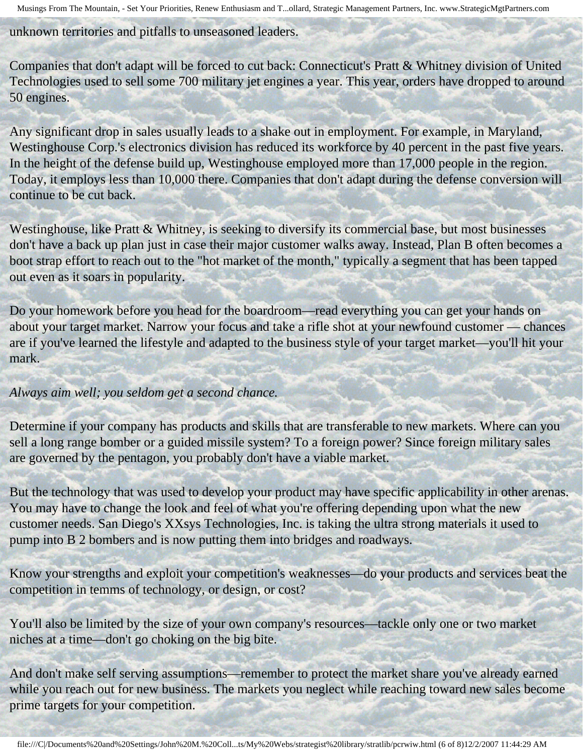unknown territories and pitfalls to unseasoned leaders.

Companies that don't adapt will be forced to cut back: Connecticut's Pratt & Whitney division of United Technologies used to sell some 700 military jet engines a year. This year, orders have dropped to around 50 engines.

Any significant drop in sales usually leads to a shake out in employment. For example, in Maryland, Westinghouse Corp.'s electronics division has reduced its workforce by 40 percent in the past five years. In the height of the defense build up, Westinghouse employed more than 17,000 people in the region. Today, it employs less than 10,000 there. Companies that don't adapt during the defense conversion will continue to be cut back.

Westinghouse, like Pratt & Whitney, is seeking to diversify its commercial base, but most businesses don't have a back up plan just in case their major customer walks away. Instead, Plan B often becomes a boot strap effort to reach out to the "hot market of the month," typically a segment that has been tapped out even as it soars in popularity.

Do your homework before you head for the boardroom—read everything you can get your hands on about your target market. Narrow your focus and take a rifle shot at your newfound customer — chances are if you've learned the lifestyle and adapted to the business style of your target market—you'll hit your mark.

#### *Always aim well; you seldom get a second chance.*

Determine if your company has products and skills that are transferable to new markets. Where can you sell a long range bomber or a guided missile system? To a foreign power? Since foreign military sales are governed by the pentagon, you probably don't have a viable market.

But the technology that was used to develop your product may have specific applicability in other arenas. You may have to change the look and feel of what you're offering depending upon what the new customer needs. San Diego's XXsys Technologies, Inc. is taking the ultra strong materials it used to pump into B 2 bombers and is now putting them into bridges and roadways.

Know your strengths and exploit your competition's weaknesses—do your products and services beat the competition in temms of technology, or design, or cost?

You'll also be limited by the size of your own company's resources—tackle only one or two market niches at a time—don't go choking on the big bite.

And don't make self serving assumptions—remember to protect the market share you've already earned while you reach out for new business. The markets you neglect while reaching toward new sales become prime targets for your competition.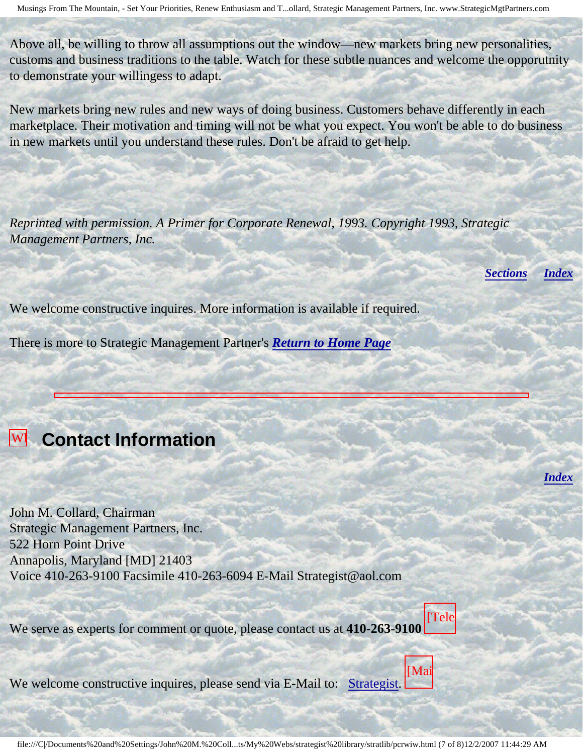Above all, be willing to throw all assumptions out the window—new markets bring new personalities, customs and business traditions to the table. Watch for these subtle nuances and welcome the opporutnity to demonstrate your willingess to adapt.

New markets bring new rules and new ways of doing business. Customers behave differently in each marketplace. Their motivation and timing will not be what you expect. You won't be able to do business in new markets until you understand these rules. Don't be afraid to get help.

*Reprinted with permission. A Primer for Corporate Renewal, 1993. Copyright 1993, Strategic Management Partners, Inc.*

*[Sections](#page-0-1) [Index](#page-0-2)*

*[Index](#page-0-2)*

We welcome constructive inquires. More information is available if required.

There is more to Strategic Management Partner's *[Return to Home Page](http://members.aol.com/strategist/home.html#TOP)*

<span id="page-6-0"></span>**Wi** Contact Information In

World

Corporate Corporate Renewal,

**Management** 

John

Are John M. Collard, Chairman Strategic Management Partners, Inc. 522 Horn Point Drive Annapolis, Maryland [MD] 21403 Voice 410-263-9100 Facsimile 410-263-6094 E-Mail Strategist@aol.com

We serve as experts for comment or quote, please contact us at **410-263-9100** [Tele

 $W_0$  yeles **Strategic** We welcome constructive inquires, please send via E-Mail to: [Strategist.](mailto:Strategist@aol.com (library pcrwiw))